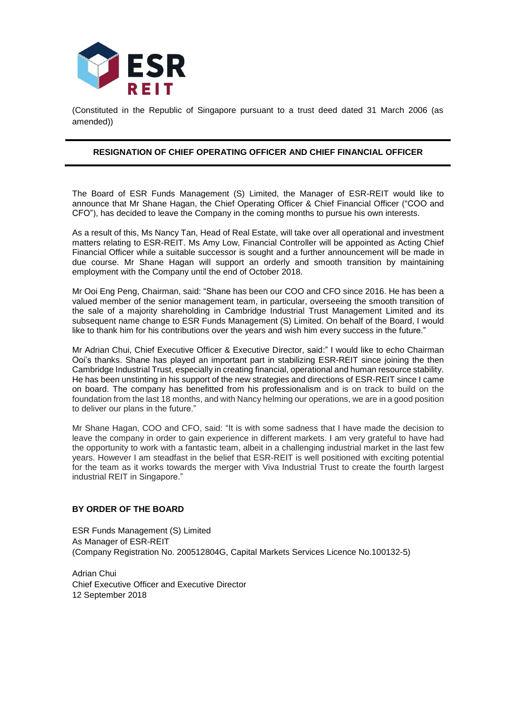

(Constituted in the Republic of Singapore pursuant to a trust deed dated 31 March 2006 (as amended))

## **RESIGNATION OF CHIEF OPERATING OFFICER AND CHIEF FINANCIAL OFFICER**

The Board of ESR Funds Management (S) Limited, the Manager of ESR-REIT would like to announce that Mr Shane Hagan, the Chief Operating Officer & Chief Financial Officer ("COO and CFO"), has decided to leave the Company in the coming months to pursue his own interests.

As a result of this, Ms Nancy Tan, Head of Real Estate, will take over all operational and investment matters relating to ESR-REIT. Ms Amy Low, Financial Controller will be appointed as Acting Chief Financial Officer while a suitable successor is sought and a further announcement will be made in due course. Mr Shane Hagan will support an orderly and smooth transition by maintaining employment with the Company until the end of October 2018.

Mr Ooi Eng Peng, Chairman, said: "Shane has been our COO and CFO since 2016. He has been a valued member of the senior management team, in particular, overseeing the smooth transition of the sale of a majority shareholding in Cambridge Industrial Trust Management Limited and its subsequent name change to ESR Funds Management (S) Limited. On behalf of the Board, I would like to thank him for his contributions over the years and wish him every success in the future."

Mr Adrian Chui, Chief Executive Officer & Executive Director, said:" I would like to echo Chairman Ooi's thanks. Shane has played an important part in stabilizing ESR-REIT since joining the then Cambridge Industrial Trust, especially in creating financial, operational and human resource stability. He has been unstinting in his support of the new strategies and directions of ESR-REIT since I came on board. The company has benefitted from his professionalism and is on track to build on the foundation from the last 18 months, and with Nancy helming our operations, we are in a good position to deliver our plans in the future."

Mr Shane Hagan, COO and CFO, said: "It is with some sadness that I have made the decision to leave the company in order to gain experience in different markets. I am very grateful to have had the opportunity to work with a fantastic team, albeit in a challenging industrial market in the last few years. However I am steadfast in the belief that ESR-REIT is well positioned with exciting potential for the team as it works towards the merger with Viva Industrial Trust to create the fourth largest industrial REIT in Singapore."

## **BY ORDER OF THE BOARD**

ESR Funds Management (S) Limited As Manager of ESR-REIT (Company Registration No. 200512804G, Capital Markets Services Licence No.100132-5)

Adrian Chui Chief Executive Officer and Executive Director 12 September 2018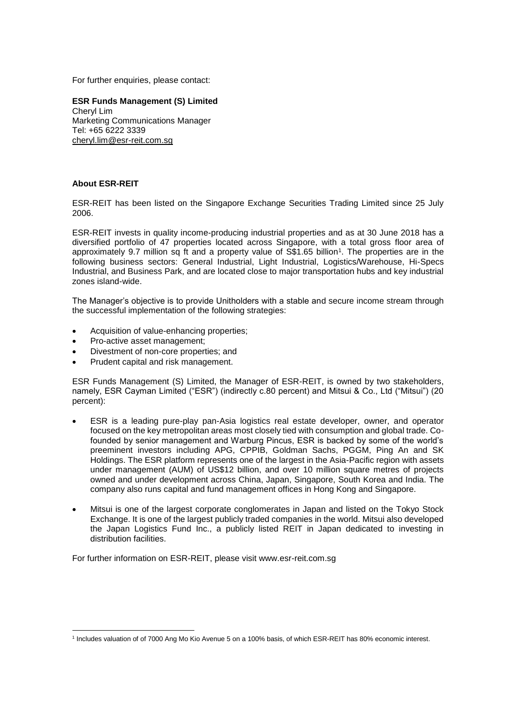For further enquiries, please contact:

**ESR Funds Management (S) Limited** Cheryl Lim Marketing Communications Manager Tel: +65 6222 3339 [cheryl.lim@esr-reit.com.sg](mailto:cheryl.lim@esr-reit.com.sg)

## **About ESR-REIT**

ESR-REIT has been listed on the Singapore Exchange Securities Trading Limited since 25 July 2006.

ESR-REIT invests in quality income-producing industrial properties and as at 30 June 2018 has a diversified portfolio of 47 properties located across Singapore, with a total gross floor area of approximately 9.7 million sq ft and a property value of S\$1.65 billion<sup>1</sup> . The properties are in the following business sectors: General Industrial, Light Industrial, Logistics/Warehouse, Hi-Specs Industrial, and Business Park, and are located close to major transportation hubs and key industrial zones island-wide.

The Manager's objective is to provide Unitholders with a stable and secure income stream through the successful implementation of the following strategies:

- Acquisition of value-enhancing properties;
- Pro-active asset management:
- Divestment of non-core properties; and
- Prudent capital and risk management.

ESR Funds Management (S) Limited, the Manager of ESR-REIT, is owned by two stakeholders, namely, ESR Cayman Limited ("ESR") (indirectly c.80 percent) and Mitsui & Co., Ltd ("Mitsui") (20 percent):

- ESR is a leading pure-play pan-Asia logistics real estate developer, owner, and operator focused on the key metropolitan areas most closely tied with consumption and global trade. Cofounded by senior management and Warburg Pincus, ESR is backed by some of the world's preeminent investors including APG, CPPIB, Goldman Sachs, PGGM, Ping An and SK Holdings. The ESR platform represents one of the largest in the Asia-Pacific region with assets under management (AUM) of US\$12 billion, and over 10 million square metres of projects owned and under development across China, Japan, Singapore, South Korea and India. The company also runs capital and fund management offices in Hong Kong and Singapore.
- Mitsui is one of the largest corporate conglomerates in Japan and listed on the Tokyo Stock Exchange. It is one of the largest publicly traded companies in the world. Mitsui also developed the Japan Logistics Fund Inc., a publicly listed REIT in Japan dedicated to investing in distribution facilities.

For further information on ESR-REIT, please visit www.esr-reit.com.sg

<sup>&</sup>lt;u>.</u> 1 Includes valuation of of 7000 Ang Mo Kio Avenue 5 on a 100% basis, of which ESR-REIT has 80% economic interest.